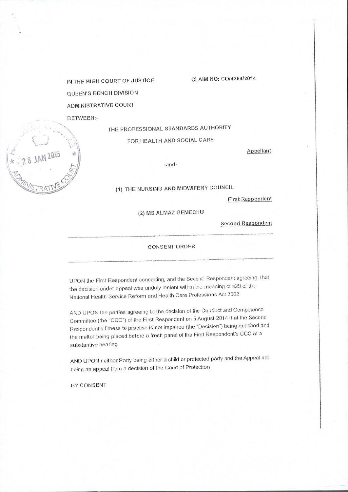IN THE HIGH COURT OF JUSTICE QUEEN'S BENCH DIVISION **ADMINISTRATIVE COURT** 

### **BETWEEN:-**

 $28$  JAN 2015  $*$ 

# THE PROFESSIONAL STANDARDS AUTHORITY

## FOR HEALTH AND SOCIAL CARE

Appellant

CLAIM NO: CO/4264/2014

-and-

(1) THE NURSING AND MIDWIFERY COUNCIL

**First Respondent** 

# (2) MS ALMAZ GEMECHU

**Second Respondent** 

### **CONSENT ORDER**

UPON the First Respondent conceding, and the Second Respondent agreeing, that the decision under appeal was unduly lenient within the meaning of s29 of the National Health Service Reform and Health Care Professions Act 2002

AND UPON the parties agreeing to the decision of the Conduct and Competence Committee (the "CCC") of the First Respondent on 5 August 2014 that the Second Respondent's fitness to practise is not impaired (the "Decision") being quashed and the matter being placed before a fresh panel of the First Respondent's CCC at a substantive hearing

AND UPON neither Party being either a child or protected party and the Appeal not being an appeal from a decision of the Court of Protection

BY CONSENT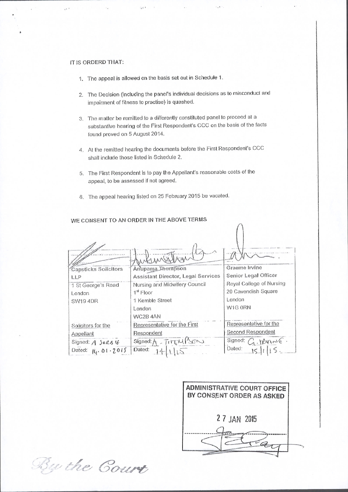## IT IS ORDERD THAT:

 $\mathbb{R}^{n+1}$ 

1. The appeal is allowed on the basis set out in Schedule 1.

 $-111$ 

- 2. The Decision (including the panel's individual decisions as to misconduct and impairment of fitness to practise) is quashed.
- 3. The matter be remitted to a differently constituted panel to proceed at a substantive hearing of the First Respondent's CCC on the basis of the facts found proved on 5 August 2014.
- 4. At the remitted hearing the documents before the First Respondent's CCC shall include those listed in Schedule 2.
- 5. The First Respondent is to pay the Appellant's reasonable costs of the appeal, to be assessed if not agreed.
- 6. The appeal hearing listed on 25 February 2015 be vacated.

| <b>Capsticks Solicitors</b> | Anupama Thompson                   | Graeme Irvine                                                 |
|-----------------------------|------------------------------------|---------------------------------------------------------------|
| LLP                         | Assistant Director, Legal Services | Senior Legal Officer                                          |
| 1 St George's Road          | Nursing and Midwifery Council      | Royal College of Nursing                                      |
| London                      | $1st$ Floor                        | 20 Cavendish Square                                           |
| <b>SW19 4DR</b>             | 1 Kemble Street                    | London                                                        |
|                             | London                             | W1G ORN                                                       |
|                             | WC2B 4AN                           |                                                               |
| Solicitors for the          | Representative for the First       | Representative for the                                        |
| Appellant                   | Respondent                         | Second Respondent                                             |
| Signed: A Surs It           | Signed: $A$ - $T$ $H$ $W$ $S$ $S$  | Signed: $C_1$ . $ \mathbb{X} \wedge \mathbb{A} \mathbb{B} $ . |
| Dated: $14.01 - 2015$       | Dated:                             | Dated:                                                        |

### WE CONSENT TO AN ORDER IN THE ABOVE TERMS



 $\triangle$ 

By the Court